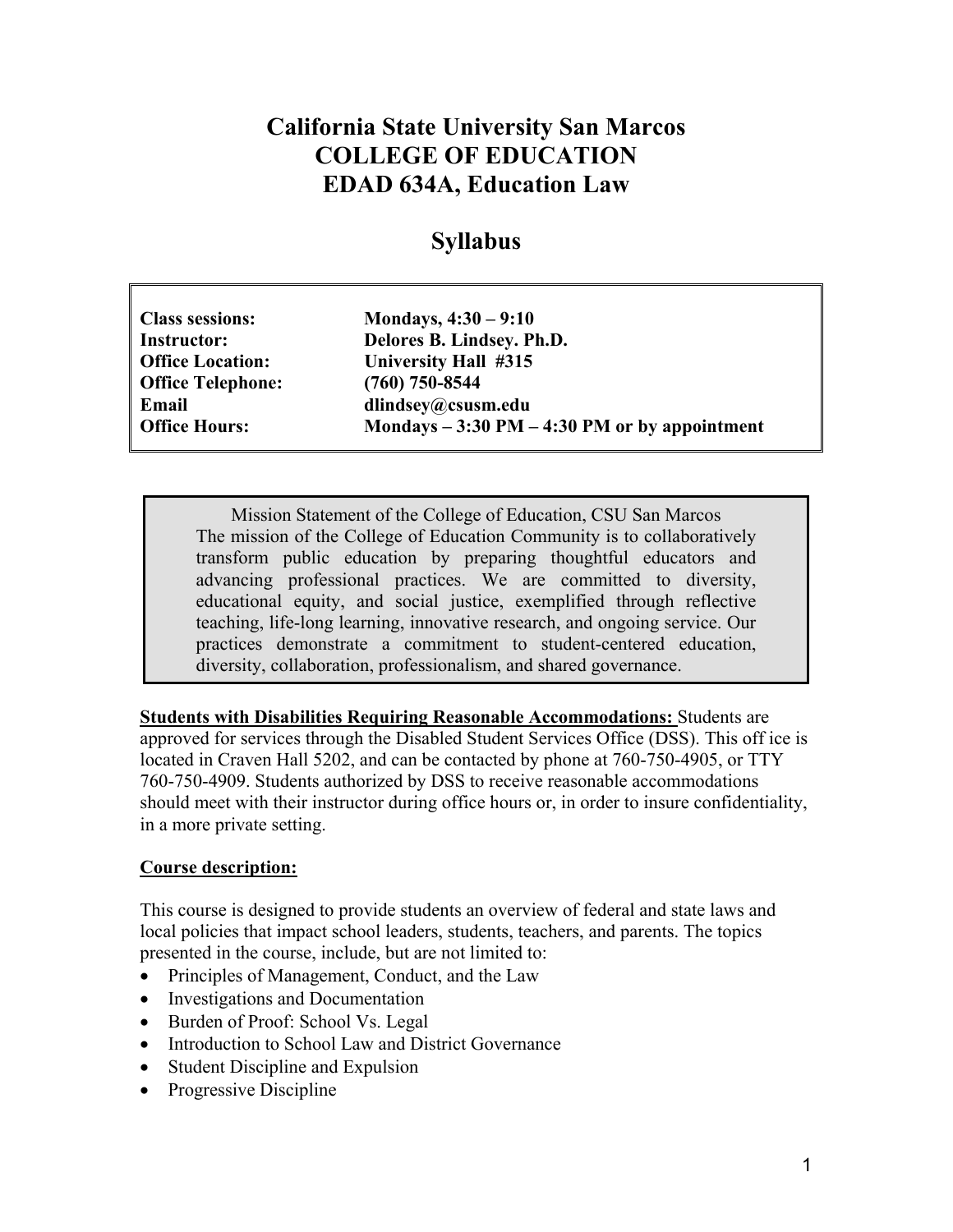# **California State University San Marcos COLLEGE OF EDUCATION EDAD 634A, Education Law**

## **Syllabus**

| <b>Class sessions:</b>   | Mondays, $4:30 - 9:10$                          |
|--------------------------|-------------------------------------------------|
| <b>Instructor:</b>       | Delores B. Lindsey. Ph.D.                       |
| <b>Office Location:</b>  | University Hall #315                            |
| <b>Office Telephone:</b> | $(760)$ 750-8544                                |
| Email                    | dlindsey@csusm.edu                              |
| <b>Office Hours:</b>     | Mondays $-3:30$ PM $-4:30$ PM or by appointment |

Mission Statement of the College of Education, CSU San Marcos The mission of the College of Education Community is to collaboratively transform public education by preparing thoughtful educators and advancing professional practices. We are committed to diversity, educational equity, and social justice, exemplified through reflective teaching, life-long learning, innovative research, and ongoing service. Our practices demonstrate a commitment to student-centered education, diversity, collaboration, professionalism, and shared governance.

**Students with Disabilities Requiring Reasonable Accommodations:** Students are approved for services through the Disabled Student Services Office (DSS). This off ice is located in Craven Hall 5202, and can be contacted by phone at 760-750-4905, or TTY 760-750-4909. Students authorized by DSS to receive reasonable accommodations should meet with their instructor during office hours or, in order to insure confidentiality, in a more private setting.

#### **Course description:**

This course is designed to provide students an overview of federal and state laws and local policies that impact school leaders, students, teachers, and parents. The topics presented in the course, include, but are not limited to:

- Principles of Management, Conduct, and the Law
- Investigations and Documentation
- Burden of Proof: School Vs. Legal
- Introduction to School Law and District Governance
- Student Discipline and Expulsion
- Progressive Discipline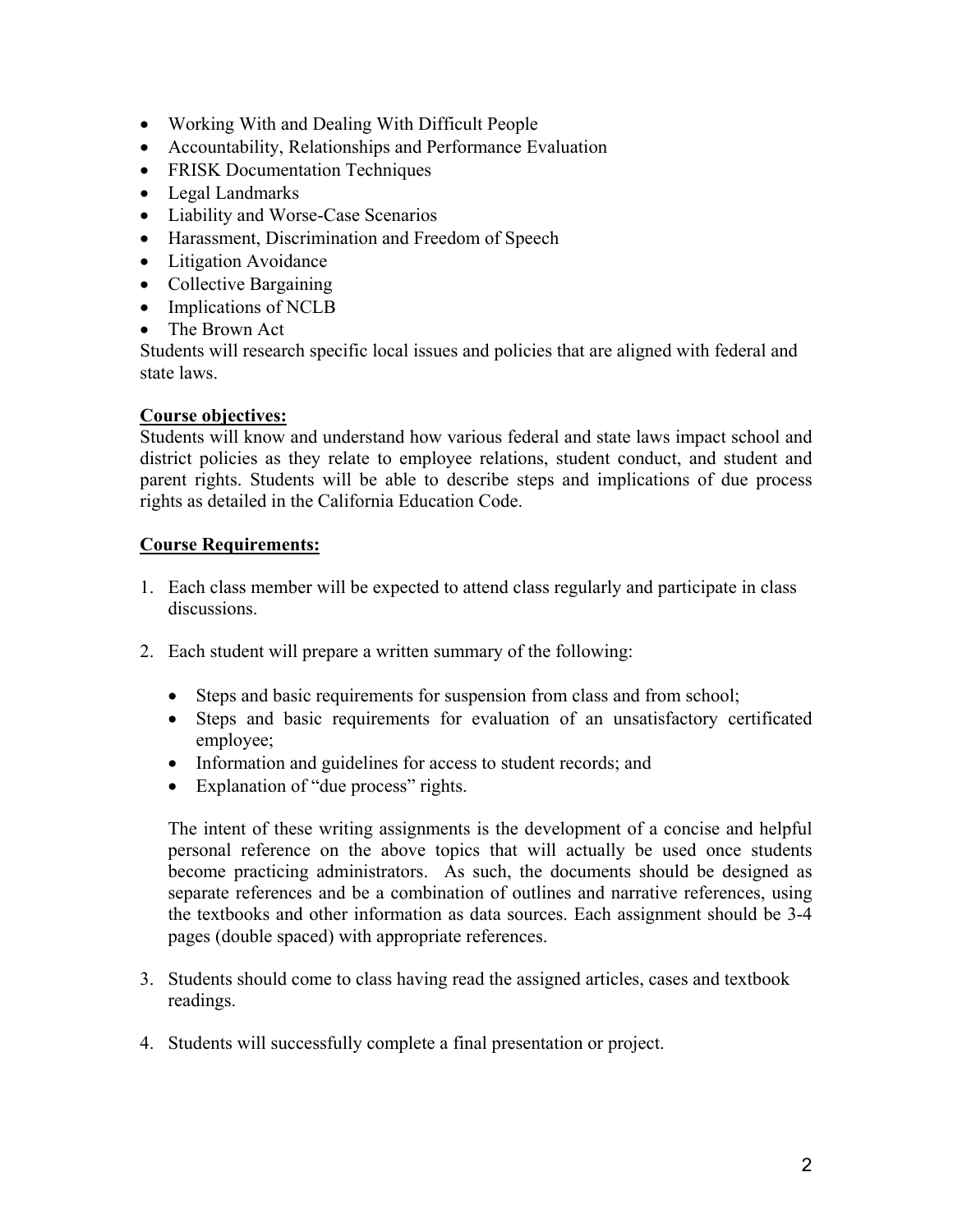- Working With and Dealing With Difficult People
- Accountability, Relationships and Performance Evaluation
- FRISK Documentation Techniques
- Legal Landmarks
- Liability and Worse-Case Scenarios
- Harassment, Discrimination and Freedom of Speech
- Litigation Avoidance
- Collective Bargaining
- Implications of NCLB
- The Brown Act

Students will research specific local issues and policies that are aligned with federal and state laws.

#### **Course objectives:**

Students will know and understand how various federal and state laws impact school and district policies as they relate to employee relations, student conduct, and student and parent rights. Students will be able to describe steps and implications of due process rights as detailed in the California Education Code.

#### **Course Requirements:**

- 1. Each class member will be expected to attend class regularly and participate in class discussions.
- 2. Each student will prepare a written summary of the following:
	- Steps and basic requirements for suspension from class and from school;
	- Steps and basic requirements for evaluation of an unsatisfactory certificated employee;
	- Information and guidelines for access to student records; and
	- Explanation of "due process" rights.

The intent of these writing assignments is the development of a concise and helpful personal reference on the above topics that will actually be used once students become practicing administrators. As such, the documents should be designed as separate references and be a combination of outlines and narrative references, using the textbooks and other information as data sources. Each assignment should be 3-4 pages (double spaced) with appropriate references.

- 3. Students should come to class having read the assigned articles, cases and textbook readings.
- 4. Students will successfully complete a final presentation or project.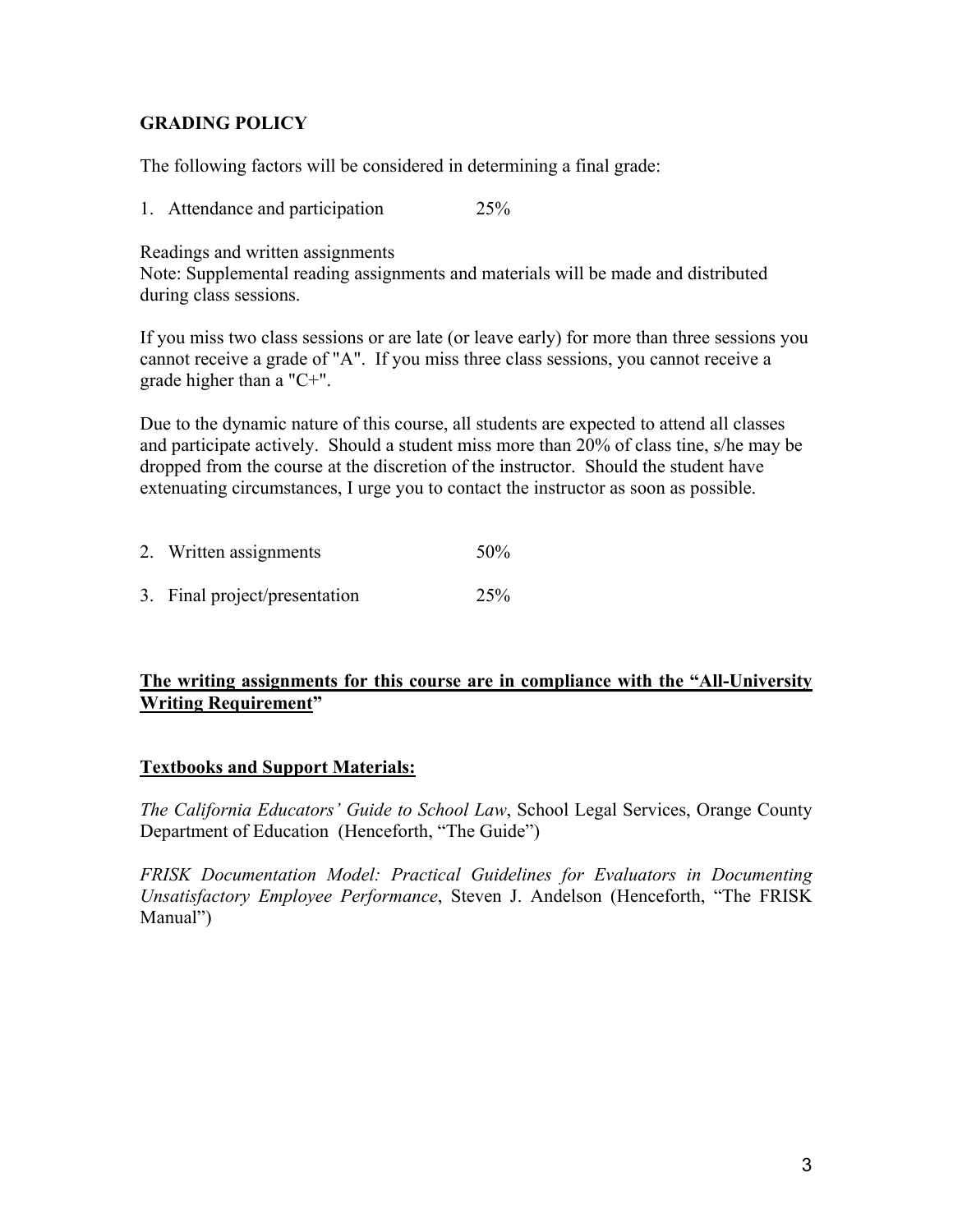#### **GRADING POLICY**

The following factors will be considered in determining a final grade:

1. Attendance and participation 25%

Readings and written assignments

Note: Supplemental reading assignments and materials will be made and distributed during class sessions.

If you miss two class sessions or are late (or leave early) for more than three sessions you cannot receive a grade of "A". If you miss three class sessions, you cannot receive a grade higher than a "C+".

Due to the dynamic nature of this course, all students are expected to attend all classes and participate actively. Should a student miss more than 20% of class tine, s/he may be dropped from the course at the discretion of the instructor. Should the student have extenuating circumstances, I urge you to contact the instructor as soon as possible.

| 2. Written assignments        | 50%             |
|-------------------------------|-----------------|
| 3. Final project/presentation | 25 <sup>%</sup> |

#### **The writing assignments for this course are in compliance with the "All-University Writing Requirement"**

#### **Textbooks and Support Materials:**

*The California Educators' Guide to School Law*, School Legal Services, Orange County Department of Education (Henceforth, "The Guide")

*FRISK Documentation Model: Practical Guidelines for Evaluators in Documenting Unsatisfactory Employee Performance*, Steven J. Andelson (Henceforth, "The FRISK Manual")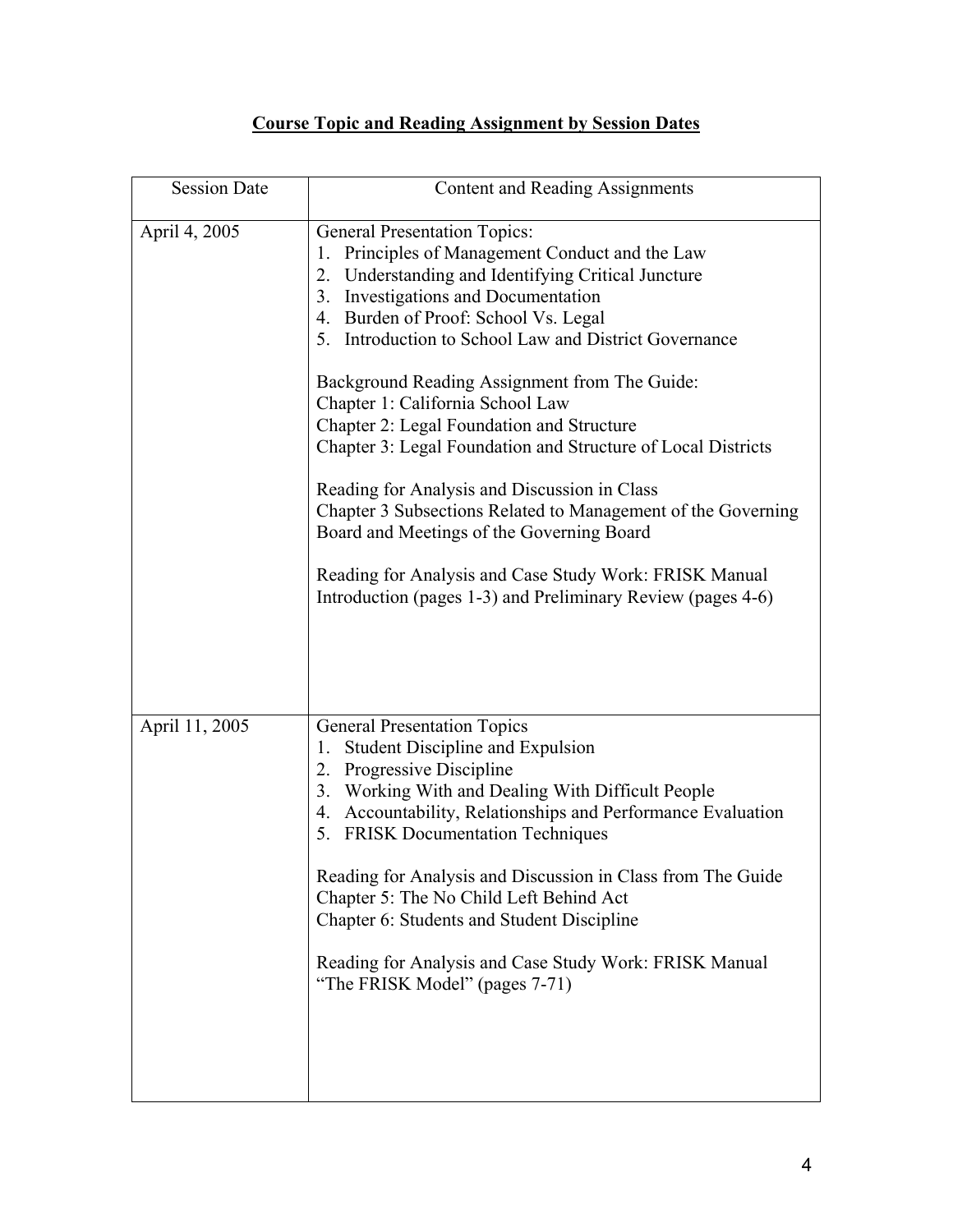### **Course Topic and Reading Assignment by Session Dates**

| <b>Session Date</b> | Content and Reading Assignments                                                                                                                                                                                                                                                                                                                                                                                                                                                                                                                                                                                                                                                                                                                                                 |
|---------------------|---------------------------------------------------------------------------------------------------------------------------------------------------------------------------------------------------------------------------------------------------------------------------------------------------------------------------------------------------------------------------------------------------------------------------------------------------------------------------------------------------------------------------------------------------------------------------------------------------------------------------------------------------------------------------------------------------------------------------------------------------------------------------------|
| April 4, 2005       | <b>General Presentation Topics:</b><br>Principles of Management Conduct and the Law<br>1.<br>2. Understanding and Identifying Critical Juncture<br>3. Investigations and Documentation<br>4. Burden of Proof: School Vs. Legal<br>5. Introduction to School Law and District Governance<br>Background Reading Assignment from The Guide:<br>Chapter 1: California School Law<br>Chapter 2: Legal Foundation and Structure<br>Chapter 3: Legal Foundation and Structure of Local Districts<br>Reading for Analysis and Discussion in Class<br>Chapter 3 Subsections Related to Management of the Governing<br>Board and Meetings of the Governing Board<br>Reading for Analysis and Case Study Work: FRISK Manual<br>Introduction (pages 1-3) and Preliminary Review (pages 4-6) |
| April 11, 2005      | <b>General Presentation Topics</b><br><b>Student Discipline and Expulsion</b><br>1.<br>2. Progressive Discipline<br>3. Working With and Dealing With Difficult People<br>4. Accountability, Relationships and Performance Evaluation<br>5. FRISK Documentation Techniques<br>Reading for Analysis and Discussion in Class from The Guide<br>Chapter 5: The No Child Left Behind Act<br>Chapter 6: Students and Student Discipline<br>Reading for Analysis and Case Study Work: FRISK Manual<br>"The FRISK Model" (pages 7-71)                                                                                                                                                                                                                                                   |